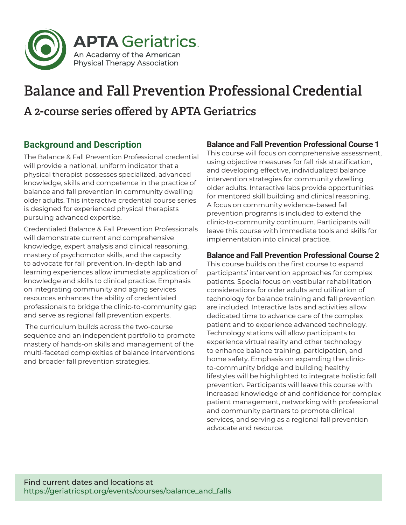

# Balance and Fall Prevention Professional Credential A 2-course series offered by APTA Geriatrics

## **Background and Description**

The Balance & Fall Prevention Professional credential will provide a national, uniform indicator that a physical therapist possesses specialized, advanced knowledge, skills and competence in the practice of balance and fall prevention in community dwelling older adults. This interactive credential course series is designed for experienced physical therapists pursuing advanced expertise.

Credentialed Balance & Fall Prevention Professionals will demonstrate current and comprehensive knowledge, expert analysis and clinical reasoning, mastery of psychomotor skills, and the capacity to advocate for fall prevention. In-depth lab and learning experiences allow immediate application of knowledge and skills to clinical practice. Emphasis on integrating community and aging services resources enhances the ability of credentialed professionals to bridge the clinic-to-community gap and serve as regional fall prevention experts.

 The curriculum builds across the two-course sequence and an independent portfolio to promote mastery of hands-on skills and management of the multi-faceted complexities of balance interventions and broader fall prevention strategies.

#### **Balance and Fall Prevention Professional Course 1**

This course will focus on comprehensive assessment, using objective measures for fall risk stratification, and developing effective, individualized balance intervention strategies for community dwelling older adults. Interactive labs provide opportunities for mentored skill building and clinical reasoning. A focus on community evidence-based fall prevention programs is included to extend the clinic-to-community continuum. Participants will leave this course with immediate tools and skills for implementation into clinical practice.

#### **Balance and Fall Prevention Professional Course 2**

This course builds on the first course to expand participants' intervention approaches for complex patients. Special focus on vestibular rehabilitation considerations for older adults and utilization of technology for balance training and fall prevention are included. Interactive labs and activities allow dedicated time to advance care of the complex patient and to experience advanced technology. Technology stations will allow participants to experience virtual reality and other technology to enhance balance training, participation, and home safety. Emphasis on expanding the clinicto-community bridge and building healthy lifestyles will be highlighted to integrate holistic fall prevention. Participants will leave this course with increased knowledge of and confidence for complex patient management, networking with professional and community partners to promote clinical services, and serving as a regional fall prevention advocate and resource.